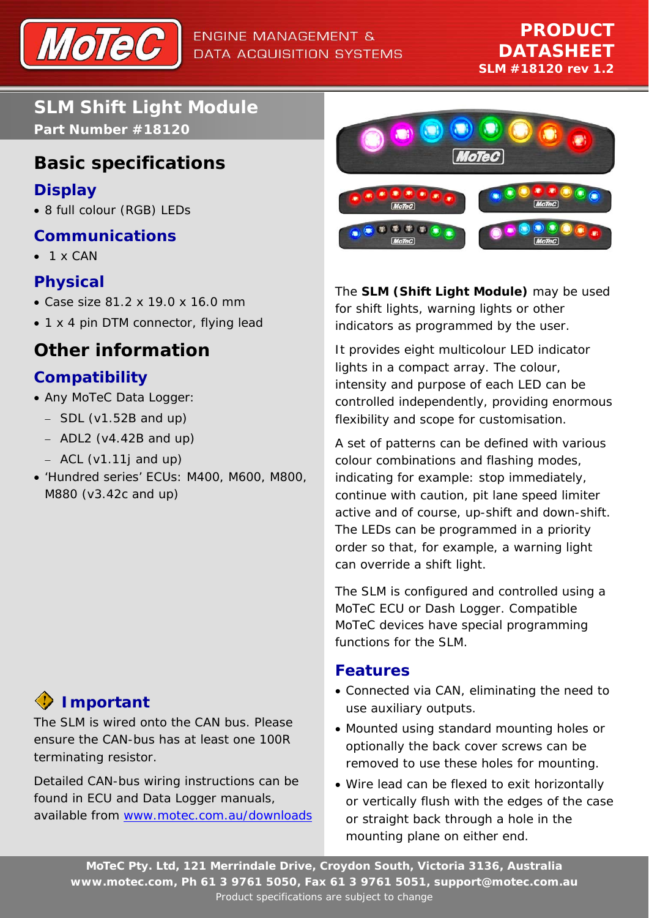

**SLM Shift Light Module Part Number #18120** 

## **Basic specifications**

#### **Display**

• 8 full colour (RGB) LEDs

#### **Communications**

 $\bullet$  1 x CAN

#### **Physical**

- Case size 81.2 x 19.0 x 16.0 mm
- 1 x 4 pin DTM connector, flying lead

# **Other information**

## **Compatibility**

- Any MoTeC Data Logger:
	- − SDL (v1.52B and up)
	- − ADL2 (v4.42B and up)
	- − ACL (v1.11j and up)
- 'Hundred series' ECUs: M400, M600, M800, M880 (v3.42c and up)

# **Important**

The SLM is wired onto the CAN bus. Please ensure the CAN-bus has at least one 100R terminating resistor.

Detailed CAN-bus wiring instructions can be found in ECU and Data Logger manuals, available from www.motec.com.au/downloads



The **SLM (Shift Light Module)** may be used for shift lights, warning lights or other indicators as programmed by the user.

It provides eight multicolour LED indicator lights in a compact array. The colour, intensity and purpose of each LED can be controlled independently, providing enormous flexibility and scope for customisation.

A set of patterns can be defined with various colour combinations and flashing modes, indicating for example: stop immediately, continue with caution, pit lane speed limiter active and of course, up-shift and down-shift. The LEDs can be programmed in a priority order so that, for example, a warning light can override a shift light.

The SLM is configured and controlled using a MoTeC ECU or Dash Logger. Compatible MoTeC devices have special programming functions for the SLM.

#### **Features**

- Connected via CAN, eliminating the need to use auxiliary outputs.
- Mounted using standard mounting holes or optionally the back cover screws can be removed to use these holes for mounting.
- Wire lead can be flexed to exit horizontally or vertically flush with the edges of the case or straight back through a hole in the mounting plane on either end.